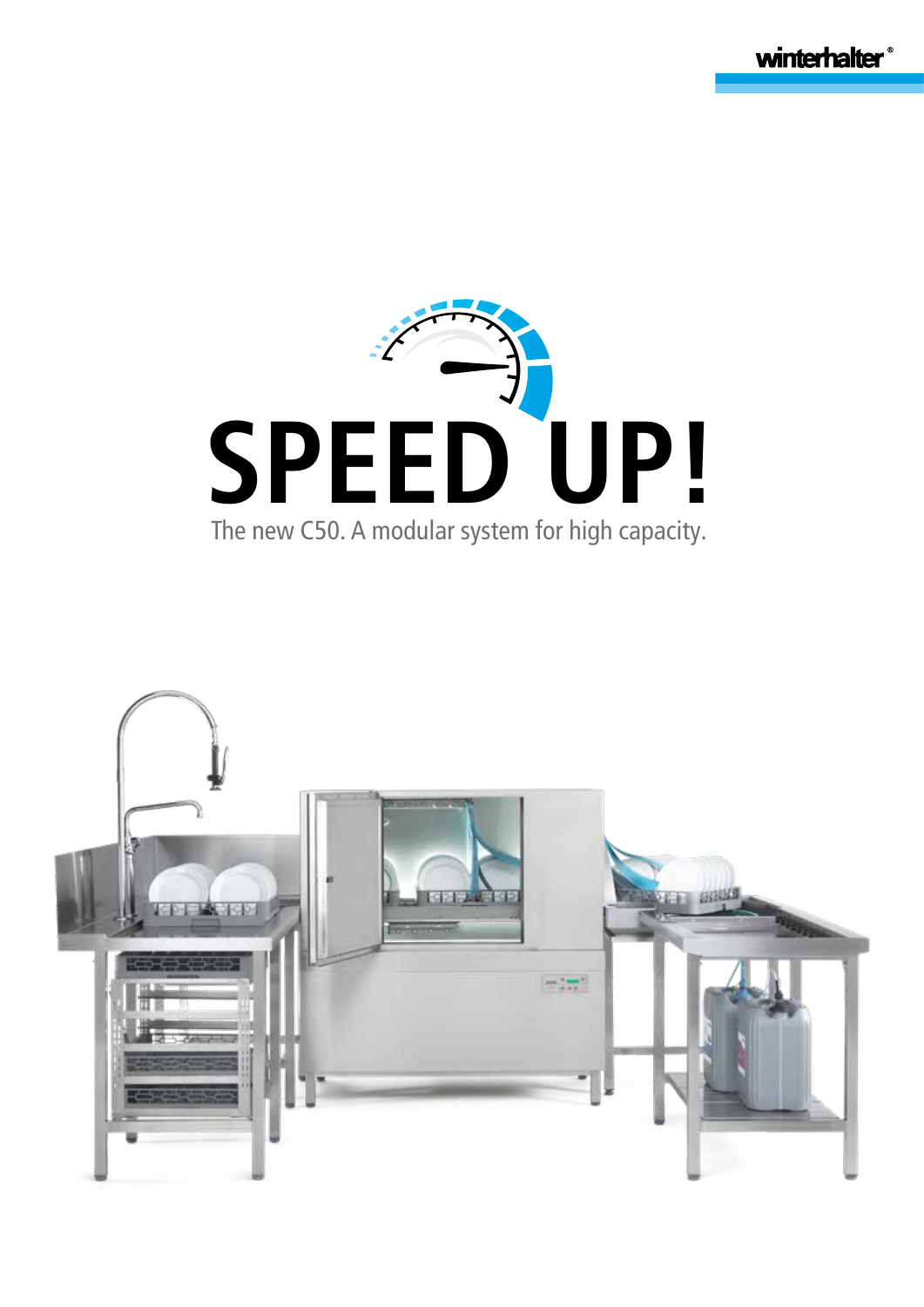winterhalter<sup>®</sup>



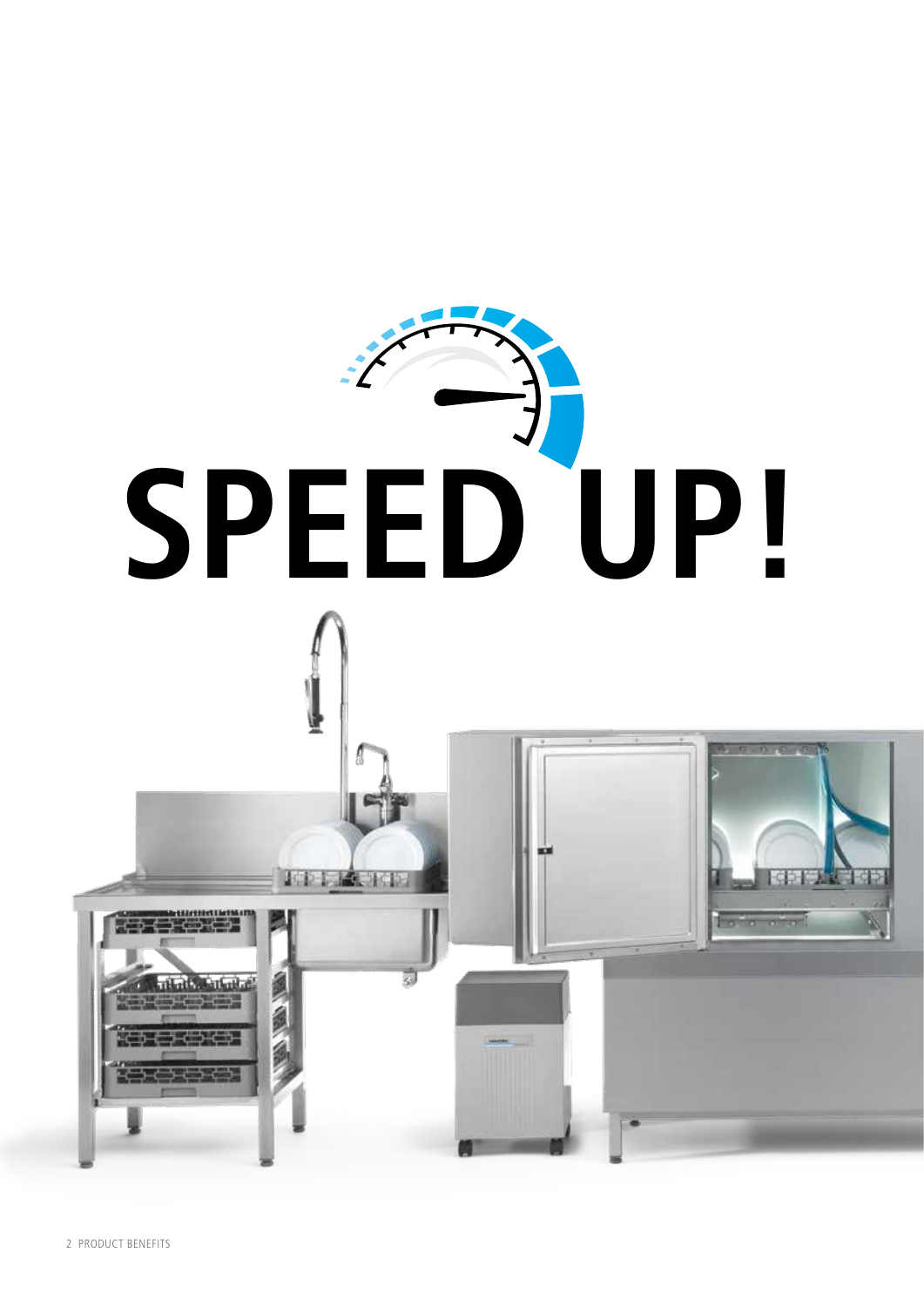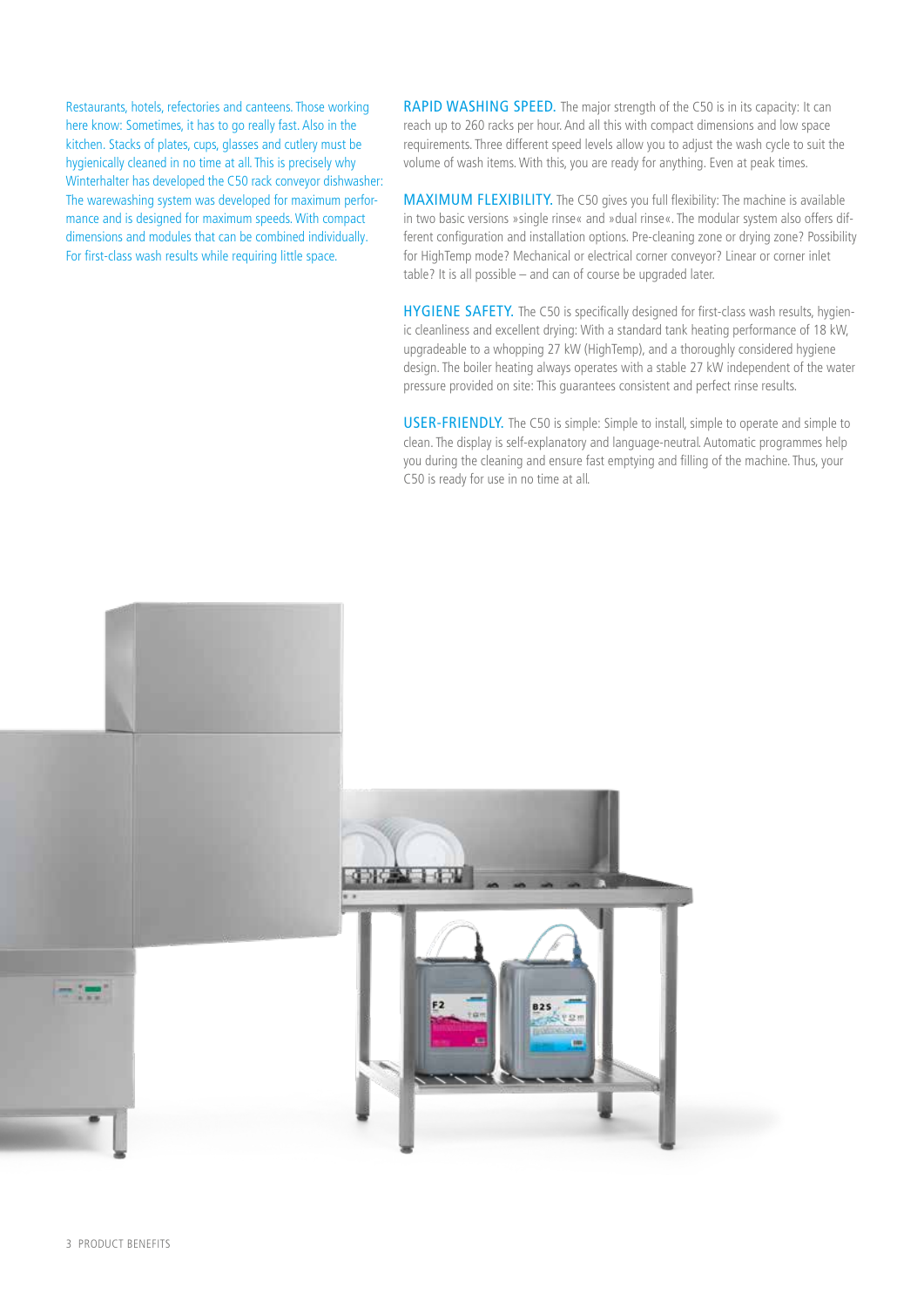Restaurants, hotels, refectories and canteens. Those working here know: Sometimes, it has to go really fast. Also in the kitchen. Stacks of plates, cups, glasses and cutlery must be hygienically cleaned in no time at all. This is precisely why Winterhalter has developed the C50 rack conveyor dishwasher: The warewashing system was developed for maximum performance and is designed for maximum speeds. With compact dimensions and modules that can be combined individually. For first-class wash results while requiring little space.

RAPID WASHING SPEED. The major strength of the C50 is in its capacity: It can reach up to 260 racks per hour. And all this with compact dimensions and low space requirements. Three different speed levels allow you to adjust the wash cycle to suit the volume of wash items. With this, you are ready for anything. Even at peak times.

MAXIMUM FLEXIBILITY. The C50 gives you full flexibility: The machine is available in two basic versions »single rinse« and »dual rinse«. The modular system also offers different configuration and installation options. Pre-cleaning zone or drying zone? Possibility for HighTemp mode? Mechanical or electrical corner conveyor? Linear or corner inlet table? It is all possible – and can of course be upgraded later.

HYGIENE SAFETY. The C50 is specifically designed for first-class wash results, hygienic cleanliness and excellent drying: With a standard tank heating performance of 18 kW, upgradeable to a whopping 27 kW (HighTemp), and a thoroughly considered hygiene design. The boiler heating always operates with a stable 27 kW independent of the water pressure provided on site: This guarantees consistent and perfect rinse results.

USER-FRIENDLY. The C50 is simple: Simple to install, simple to operate and simple to clean. The display is self-explanatory and language-neutral. Automatic programmes help you during the cleaning and ensure fast emptying and filling of the machine. Thus, your C50 is ready for use in no time at all.

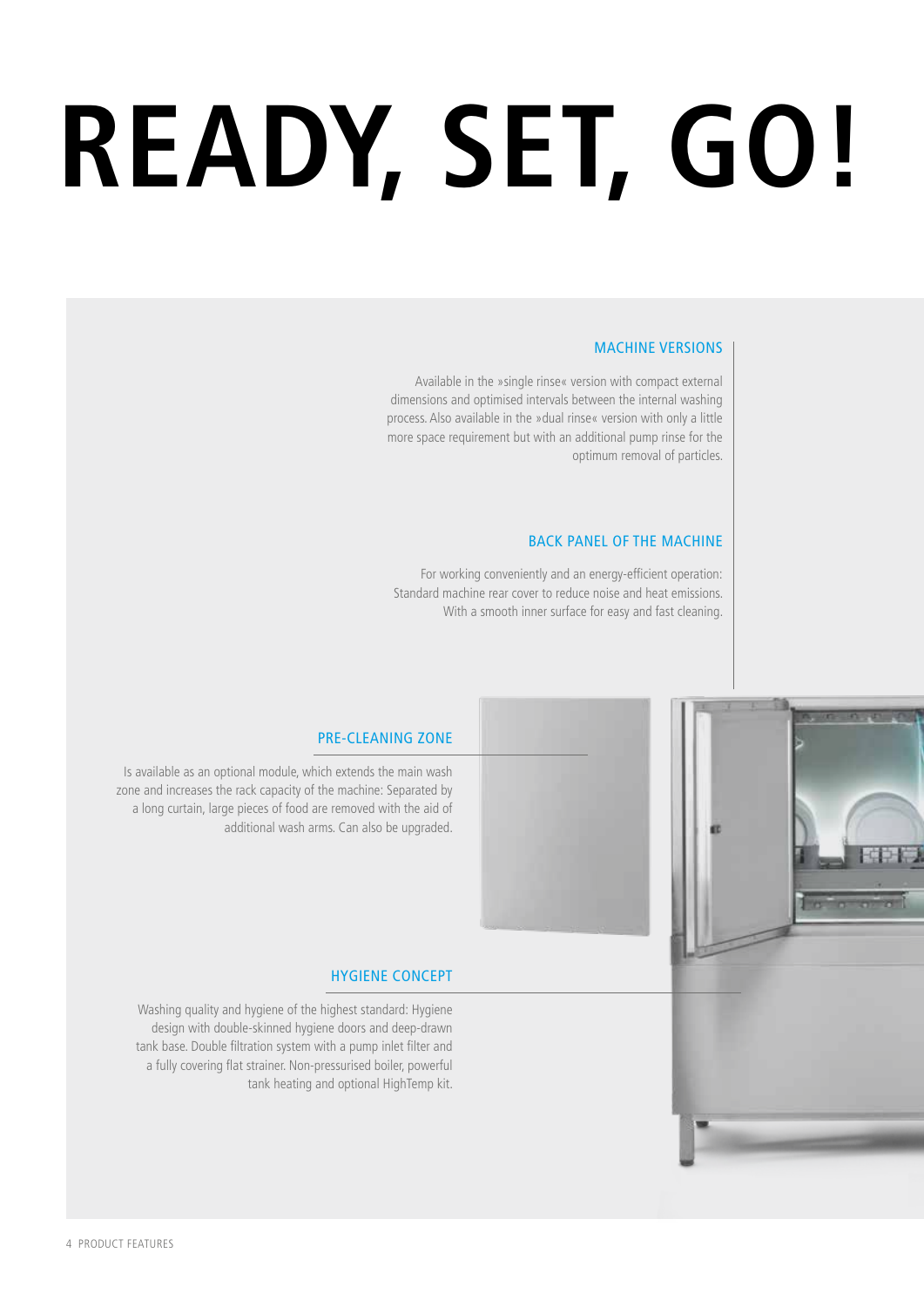# **READY, SET, GO!**

#### MACHINE VERSIONS

Available in the »single rinse« version with compact external dimensions and optimised intervals between the internal washing process. Also available in the »dual rinse« version with only a little more space requirement but with an additional pump rinse for the optimum removal of particles.

#### BACK PANEL OF THE MACHINE

For working conveniently and an energy-efficient operation: Standard machine rear cover to reduce noise and heat emissions. With a smooth inner surface for easy and fast cleaning.



# PRE-CLEANING ZONE

Is available as an optional module, which extends the main wash zone and increases the rack capacity of the machine: Separated by a long curtain, large pieces of food are removed with the aid of additional wash arms. Can also be upgraded.

#### HYGIENE CONCEPT

Washing quality and hygiene of the highest standard: Hygiene design with double-skinned hygiene doors and deep-drawn tank base. Double filtration system with a pump inlet filter and a fully covering flat strainer. Non-pressurised boiler, powerful tank heating and optional HighTemp kit.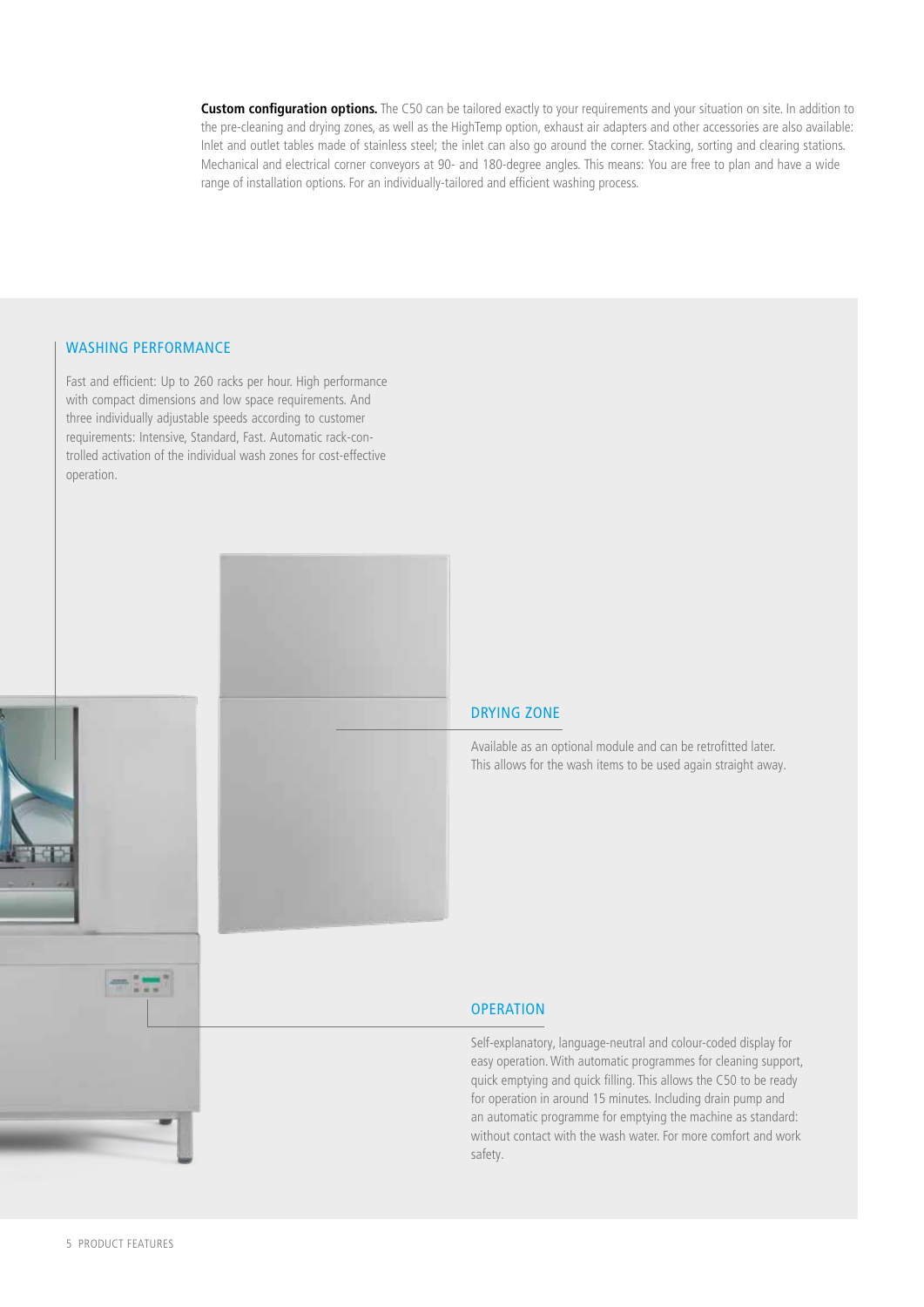**Custom configuration options.** The C50 can be tailored exactly to your requirements and your situation on site. In addition to the pre-cleaning and drying zones, as well as the HighTemp option, exhaust air adapters and other accessories are also available: Inlet and outlet tables made of stainless steel; the inlet can also go around the corner. Stacking, sorting and clearing stations. Mechanical and electrical corner conveyors at 90- and 180-degree angles. This means: You are free to plan and have a wide range of installation options. For an individually-tailored and efficient washing process.

#### WASHING PERFORMANCE

Fast and efficient: Up to 260 racks per hour. High performance with compact dimensions and low space requirements. And three individually adjustable speeds according to customer requirements: Intensive, Standard, Fast. Automatic rack-controlled activation of the individual wash zones for cost-effective operation.



#### DRYING ZONE

Available as an optional module and can be retrofitted later. This allows for the wash items to be used again straight away.

#### **OPERATION**

Self-explanatory, language-neutral and colour-coded display for easy operation. With automatic programmes for cleaning support, quick emptying and quick filling. This allows the C50 to be ready for operation in around 15 minutes. Including drain pump and an automatic programme for emptying the machine as standard: without contact with the wash water. For more comfort and work safety.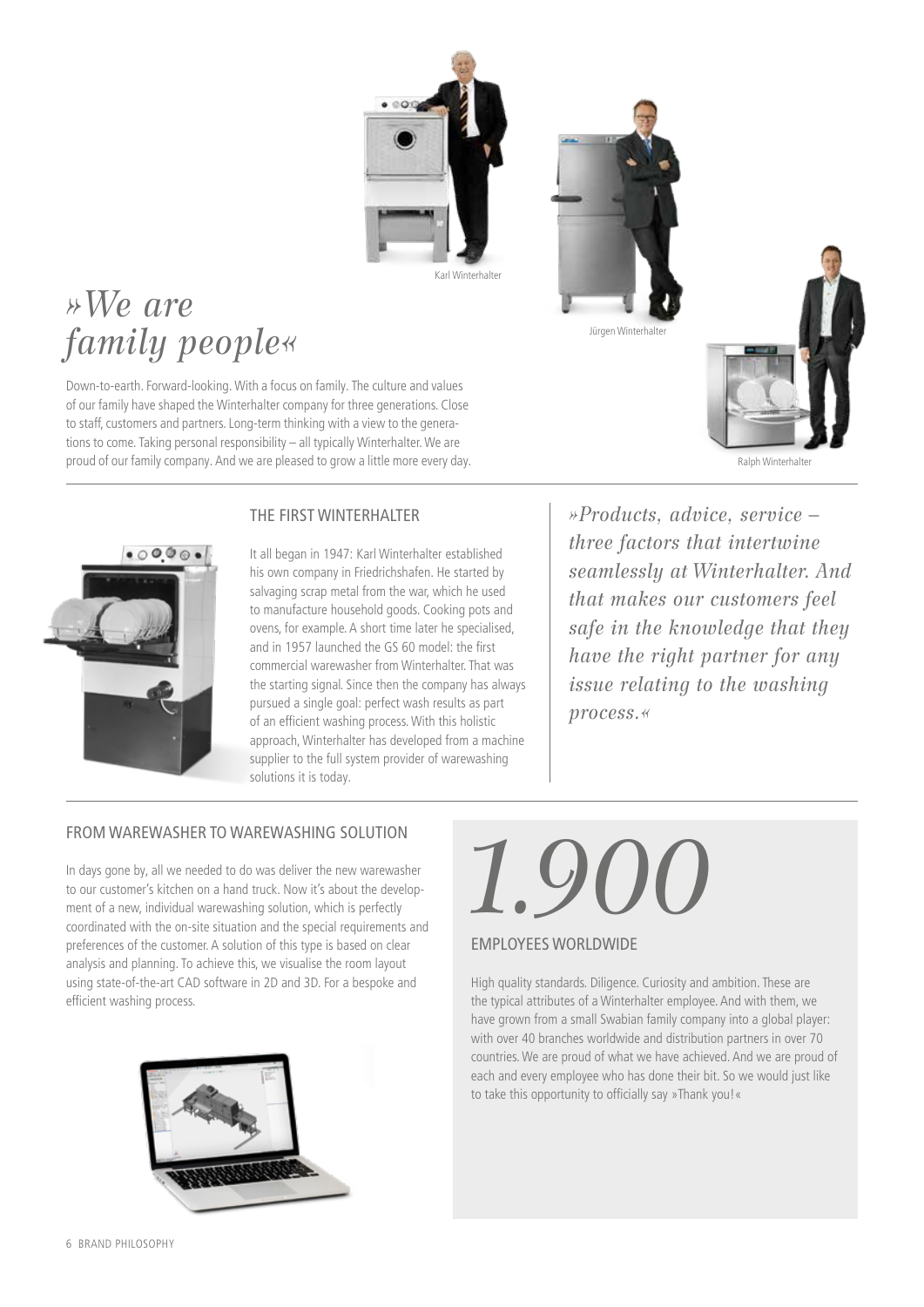

# Jürgen Winterhal



# *»We are family people«*

Down-to-earth. Forward-looking. With a focus on family. The culture and values of our family have shaped the Winterhalter company for three generations. Close to staff, customers and partners. Long-term thinking with a view to the generations to come. Taking personal responsibility – all typically Winterhalter. We are proud of our family company. And we are pleased to grow a little more every day.





It all began in 1947: Karl Winterhalter established his own company in Friedrichshafen. He started by salvaging scrap metal from the war, which he used to manufacture household goods. Cooking pots and ovens, for example. A short time later he specialised, and in 1957 launched the GS 60 model: the first commercial warewasher from Winterhalter. That was the starting signal. Since then the company has always pursued a single goal: perfect wash results as part of an efficient washing process. With this holistic approach, Winterhalter has developed from a machine supplier to the full system provider of warewashing solutions it is today.

*»Products, advice, service – three factors that intertwine seamlessly at Winterhalter. And that makes our customers feel safe in the knowledge that they have the right partner for any issue relating to the washing process.«*

## FROM WAREWASHER TO WAREWASHING SOLUTION

In days gone by, all we needed to do was deliver the new warewasher to our customer's kitchen on a hand truck. Now it's about the development of a new, individual warewashing solution, which is perfectly coordinated with the on-site situation and the special requirements and preferences of the customer. A solution of this type is based on clear analysis and planning. To achieve this, we visualise the room layout using state-of-the-art CAD software in 2D and 3D. For a bespoke and efficient washing process.



# *1.900*

#### EMPLOYEES WORLDWIDE

High quality standards. Diligence. Curiosity and ambition. These are the typical attributes of a Winterhalter employee. And with them, we have grown from a small Swabian family company into a global player: with over 40 branches worldwide and distribution partners in over 70 countries. We are proud of what we have achieved. And we are proud of each and every employee who has done their bit. So we would just like to take this opportunity to officially say »Thank you!«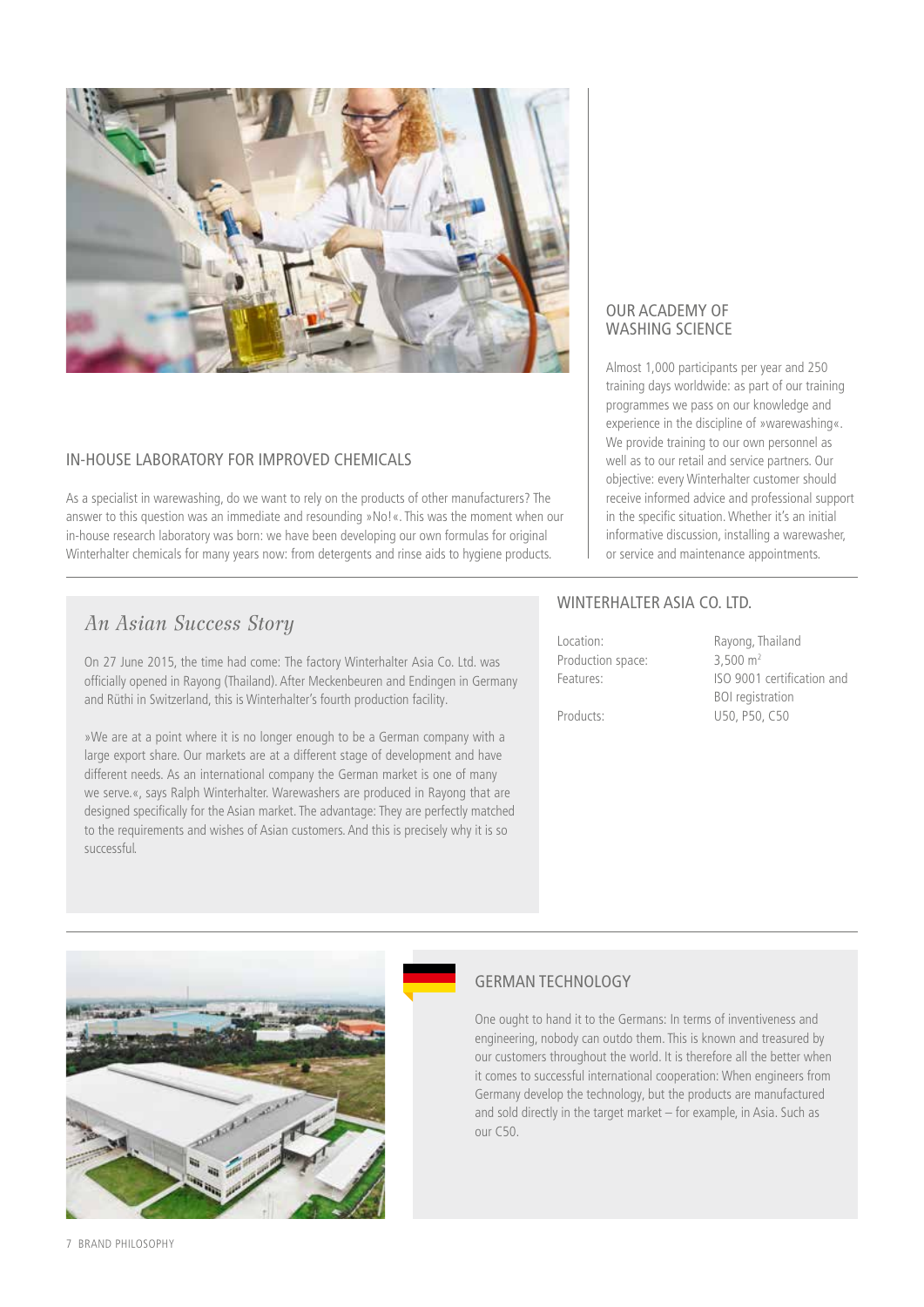

#### IN-HOUSE LABORATORY FOR IMPROVED CHEMICALS

As a specialist in warewashing, do we want to rely on the products of other manufacturers? The answer to this question was an immediate and resounding »No!«. This was the moment when our in-house research laboratory was born: we have been developing our own formulas for original Winterhalter chemicals for many years now: from detergents and rinse aids to hygiene products.

## *An Asian Success Story*

On 27 June 2015, the time had come: The factory Winterhalter Asia Co. Ltd. was officially opened in Rayong (Thailand). After Meckenbeuren and Endingen in Germany and Rüthi in Switzerland, this is Winterhalter's fourth production facility.

»We are at a point where it is no longer enough to be a German company with a large export share. Our markets are at a different stage of development and have different needs. As an international company the German market is one of many we serve.«, says Ralph Winterhalter. Warewashers are produced in Rayong that are designed specifically for the Asian market. The advantage: They are perfectly matched to the requirements and wishes of Asian customers. And this is precisely why it is so successful.

#### OUR ACADEMY OF WASHING SCIENCE

Almost 1,000 participants per year and 250 training days worldwide: as part of our training programmes we pass on our knowledge and experience in the discipline of »warewashing«. We provide training to our own personnel as well as to our retail and service partners. Our objective: every Winterhalter customer should receive informed advice and professional support in the specific situation. Whether it's an initial informative discussion, installing a warewasher, or service and maintenance appointments.

#### WINTERHALTER ASIA CO. LTD.

| Location:         |  |
|-------------------|--|
| Production space: |  |
| Features:         |  |
|                   |  |

Rayong, Thailand  $3,500 \text{ m}^2$ ISO 9001 certification and BOI registration Products: U50, P50, C50



#### GERMAN TECHNOLOGY

One ought to hand it to the Germans: In terms of inventiveness and engineering, nobody can outdo them. This is known and treasured by our customers throughout the world. It is therefore all the better when it comes to successful international cooperation: When engineers from Germany develop the technology, but the products are manufactured and sold directly in the target market – for example, in Asia. Such as our C50.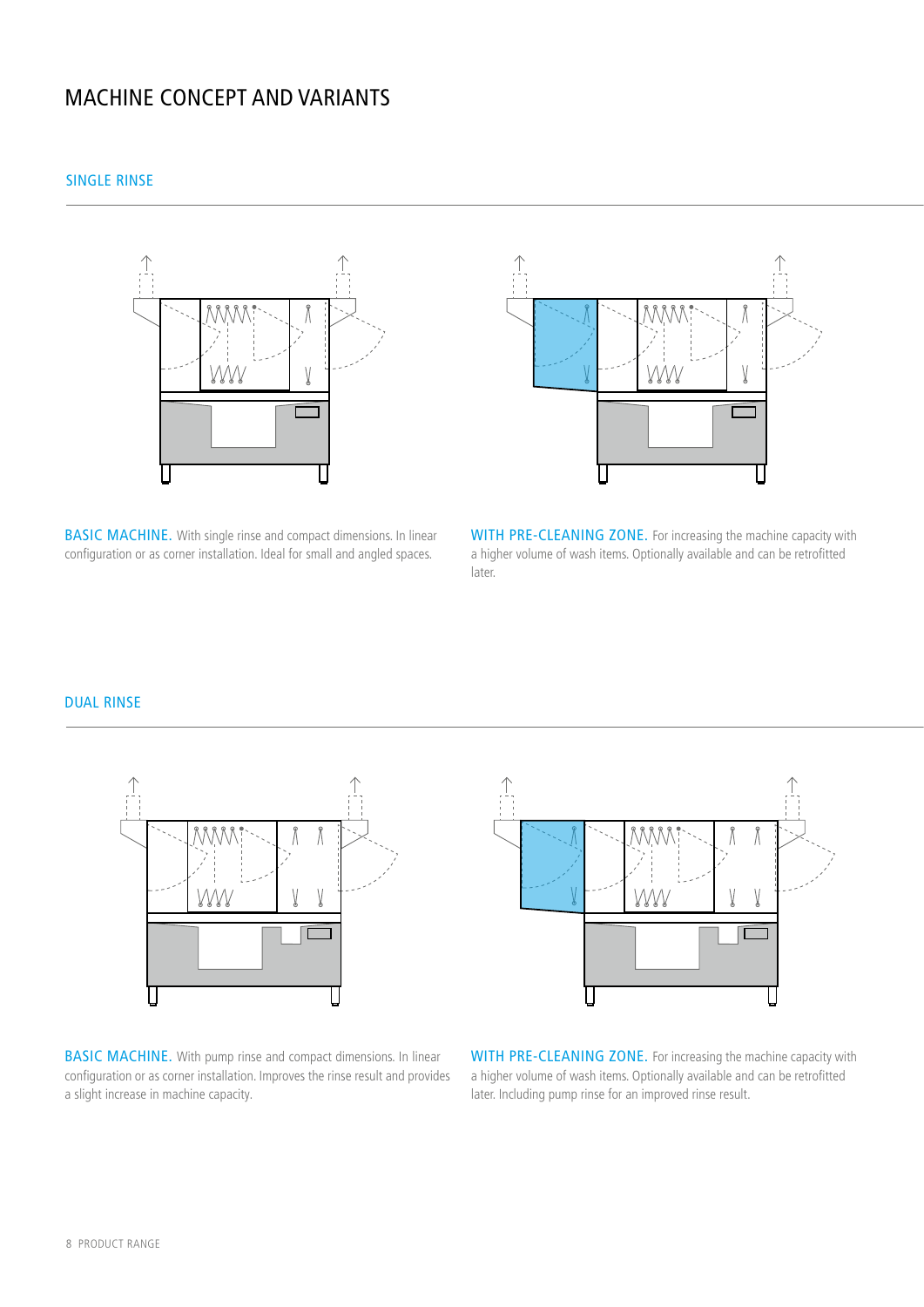## MACHINE CONCEPT AND VARIANTS

SINGLE RINSE





BASIC MACHINE. With single rinse and compact dimensions. In linear configuration or as corner installation. Ideal for small and angled spaces.

WITH PRE-CLEANING ZONE. For increasing the machine capacity with a higher volume of wash items. Optionally available and can be retrofitted later.

#### DUAL RINSE



BASIC MACHINE. With pump rinse and compact dimensions. In linear configuration or as corner installation. Improves the rinse result and provides a slight increase in machine capacity.



WITH PRE-CLEANING ZONE. For increasing the machine capacity with a higher volume of wash items. Optionally available and can be retrofitted later. Including pump rinse for an improved rinse result.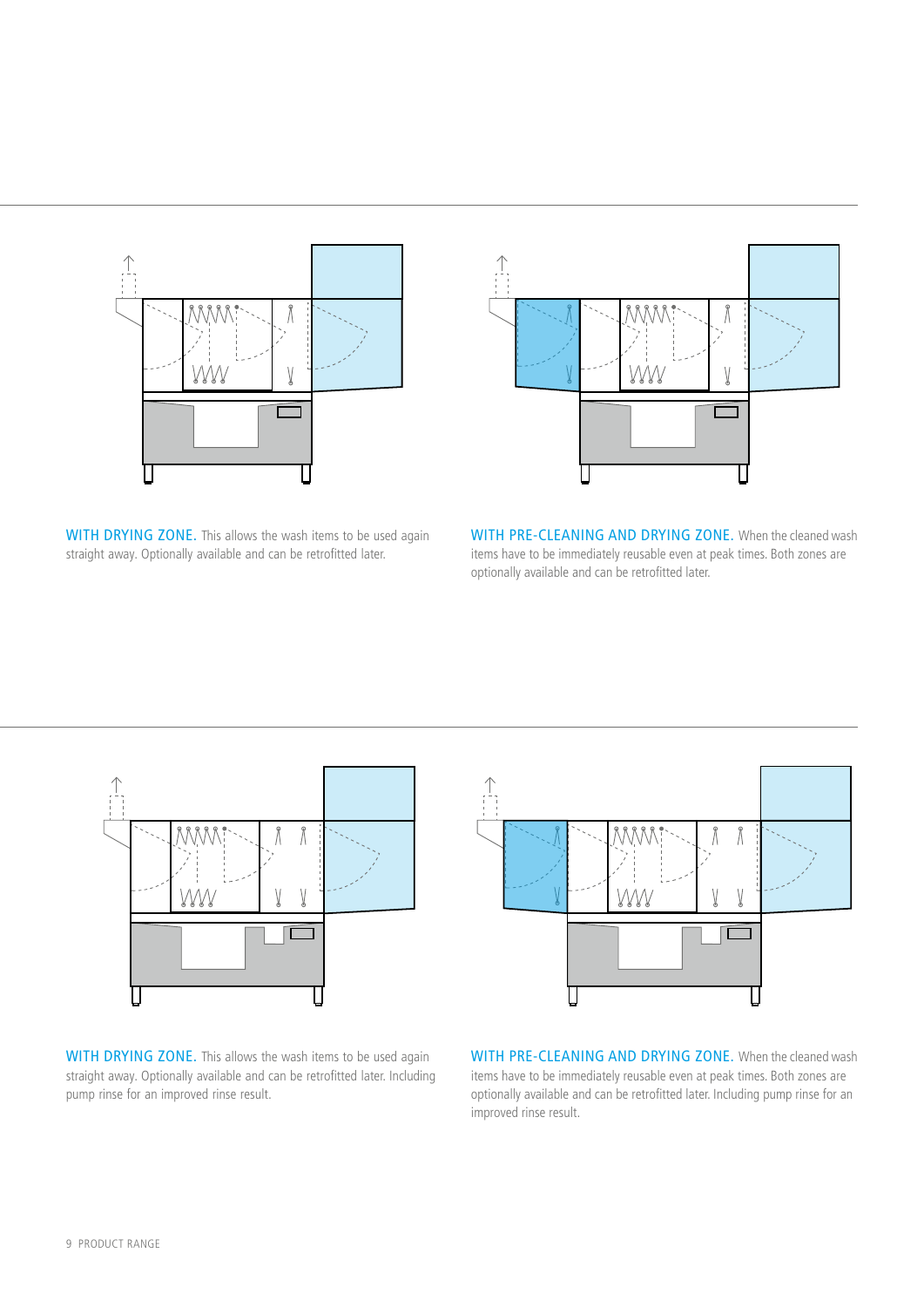



WITH DRYING ZONE. This allows the wash items to be used again straight away. Optionally available and can be retrofitted later.

WITH PRE-CLEANING AND DRYING ZONE. When the cleaned wash items have to be immediately reusable even at peak times. Both zones are optionally available and can be retrofitted later.



WITH DRYING ZONE. This allows the wash items to be used again straight away. Optionally available and can be retrofitted later. Including pump rinse for an improved rinse result.



WITH PRE-CLEANING AND DRYING ZONE. When the cleaned wash items have to be immediately reusable even at peak times. Both zones are optionally available and can be retrofitted later. Including pump rinse for an improved rinse result.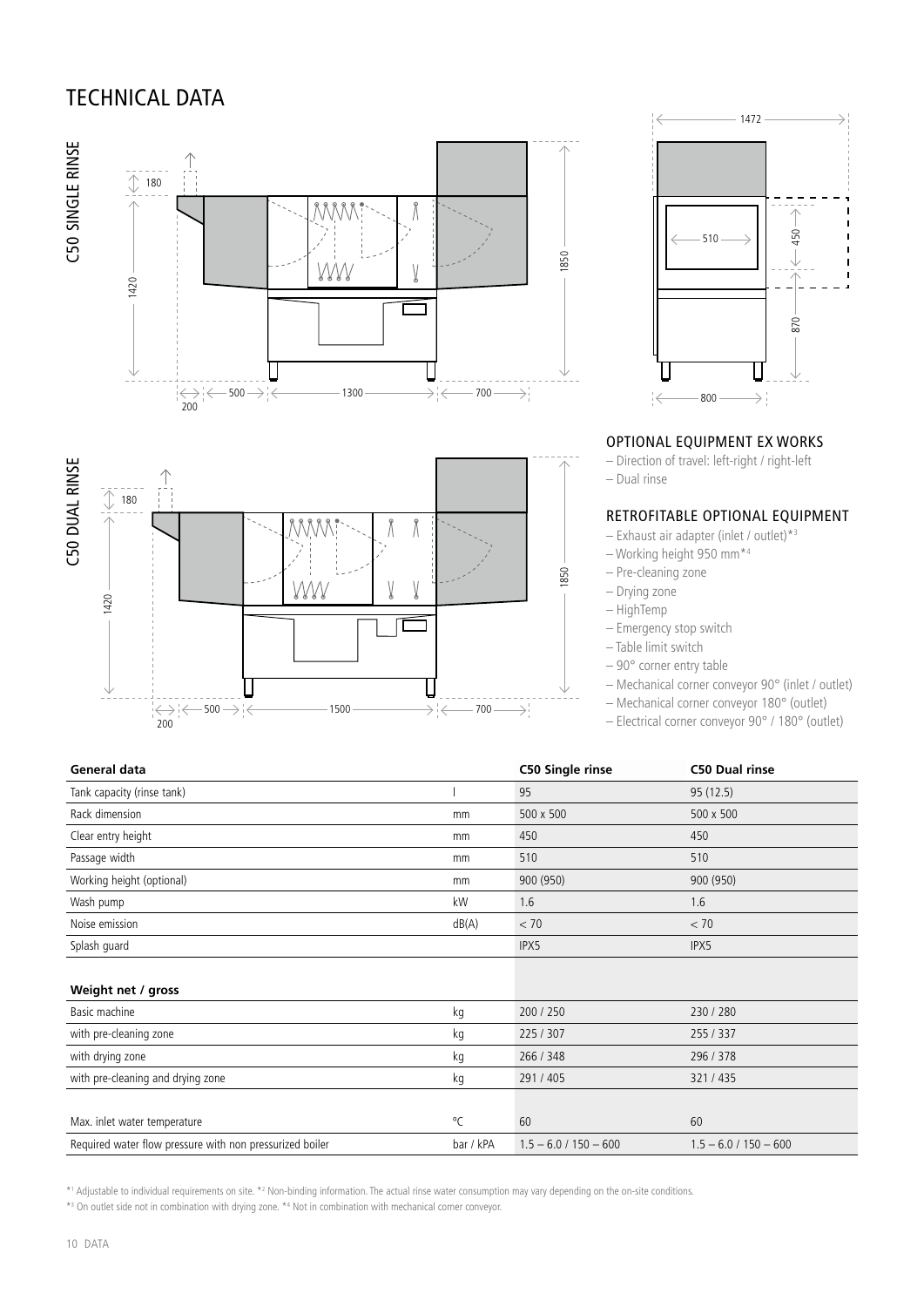# TECHNICAL DATA





#### OPTIONAL EQUIPMENT EX WORKS

– Direction of travel: left-right / right-left

– Dual rinse

#### RETROFITABLE OPTIONAL EQUIPMENT

– Exhaust air adapter (inlet / outlet)\*3

- Working height 950 mm\*4
- Pre-cleaning zone
- Drying zone
- HighTemp
- Emergency stop switch
- Table limit switch
- 90° corner entry table

– Mechanical corner conveyor 90° (inlet / outlet)

- Mechanical corner conveyor 180° (outlet)
- Electrical corner conveyor 90° / 180° (outlet)

| General data                                             |              | C50 Single rinse        | <b>C50 Dual rinse</b>   |
|----------------------------------------------------------|--------------|-------------------------|-------------------------|
| Tank capacity (rinse tank)                               |              | 95                      | 95 (12.5)               |
| Rack dimension                                           | mm           | 500 x 500               | 500 x 500               |
| Clear entry height                                       | mm           | 450                     | 450                     |
| Passage width                                            | mm           | 510                     | 510                     |
| Working height (optional)                                | mm           | 900 (950)               | 900 (950)               |
| Wash pump                                                | kW           | 1.6                     | 1.6                     |
| Noise emission                                           | dB(A)        | < 70                    | < 70                    |
| Splash guard                                             |              | IPX5                    | IPX5                    |
|                                                          |              |                         |                         |
| Weight net / gross                                       |              |                         |                         |
| Basic machine                                            | kg           | 200 / 250               | 230 / 280               |
| with pre-cleaning zone                                   | kg           | 225/307                 | 255/337                 |
| with drying zone                                         | kg           | 266 / 348               | 296 / 378               |
| with pre-cleaning and drying zone                        | kg           | 291 / 405               | 321/435                 |
|                                                          |              |                         |                         |
| Max. inlet water temperature                             | $^{\circ}$ C | 60                      | 60                      |
| Required water flow pressure with non pressurized boiler | bar / kPA    | $1.5 - 6.0 / 150 - 600$ | $1.5 - 6.0 / 150 - 600$ |

 $-700 \longrightarrow$ 

 $\rightarrow$   $\leftarrow$ 

\*1 Adjustable to individual requirements on site. \*2 Non-binding information. The actual rinse water consumption may vary depending on the on-site conditions.

\*<sup>3</sup> On outlet side not in combination with drying zone. \*4 Not in combination with mechanical corner conveyor.

 $500 \rightarrow \in$  1500

200

1420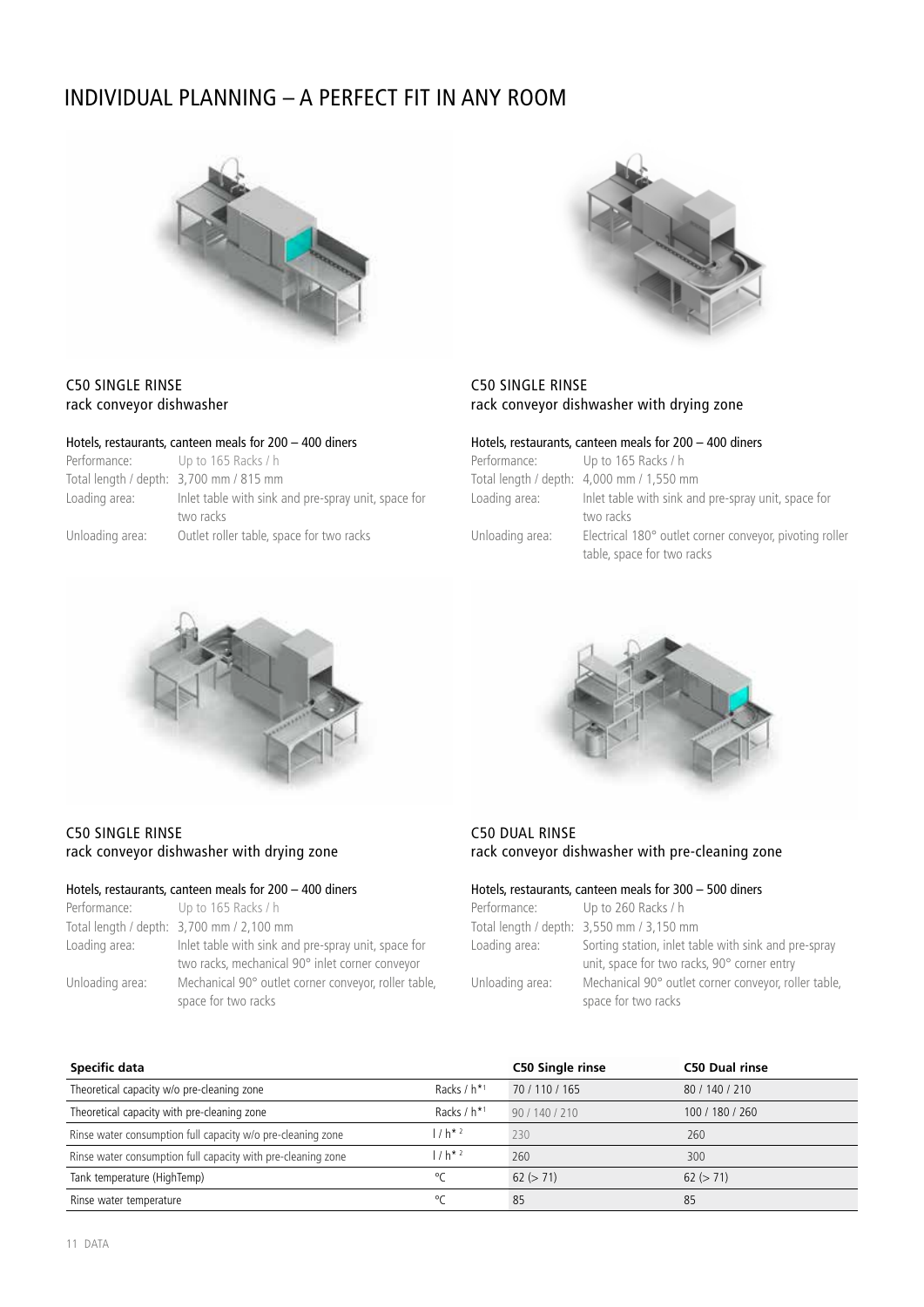# INDIVIDUAL PLANNING – A PERFECT FIT IN ANY ROOM





#### C50 SINGLE RINSE rack conveyor dishwasher with drying zone

#### Hotels, restaurants, canteen meals for 200 – 400 diners

| Performance: Up to 165 Racks / h |                                                         |
|----------------------------------|---------------------------------------------------------|
|                                  | Total length / depth: 4,000 mm / 1,550 mm               |
| Loading area:                    | Inlet table with sink and pre-spray unit, space for     |
|                                  | two racks                                               |
| Unloading area:                  | Electrical 180° outlet corner conveyor, pivoting roller |
|                                  | table, space for two racks                              |



Hotels, restaurants, canteen meals for 200 – 400 diners

Up to 165 Racks / h

two racks Unloading area: Outlet roller table, space for two racks

Loading area: Inlet table with sink and pre-spray unit, space for

Total length / depth: 3,700 mm / 815 mm



C50 SINGLE RINSE rack conveyor dishwasher

Performance:

#### Hotels, restaurants, canteen meals for 200 – 400 diners

| Performance:    | Up to $165$ Racks / h                                                                                  | Performance:                             | Up to 260 Racks / h                              |
|-----------------|--------------------------------------------------------------------------------------------------------|------------------------------------------|--------------------------------------------------|
|                 | Total length / depth: 3,700 mm / 2,100 mm                                                              | Total length / depth: 3,550 mm / 3,150 m |                                                  |
| Loading area:   | Inlet table with sink and pre-spray unit, space for<br>two racks, mechanical 90° inlet corner conveyor | Loading area:                            | Sorting station, inlet<br>unit, space for two ra |
| Unloading area: | Mechanical 90° outlet corner conveyor, roller table,<br>space for two racks                            | Unloading area:                          | Mechanical 90° outlet<br>space for two racks     |



#### C50 DUAL RINSE rack conveyor dishwasher with pre-cleaning zone

#### Hotels, restaurants, canteen meals for 300 – 500 diners

| Performance:    | Up to 260 Racks / h                                  |
|-----------------|------------------------------------------------------|
|                 | Total length / depth: 3,550 mm / 3,150 mm            |
| Loading area:   | Sorting station, inlet table with sink and pre-spray |
|                 | unit, space for two racks, 90° corner entry          |
| Unloading area: | Mechanical 90° outlet corner conveyor, roller table, |
|                 | space for two racks                                  |
|                 |                                                      |

| Specific data                                                |                  | <b>C50 Single rinse</b> | <b>C50 Dual rinse</b> |
|--------------------------------------------------------------|------------------|-------------------------|-----------------------|
| Theoretical capacity w/o pre-cleaning zone                   | Racks $/ h^{*1}$ | 70 / 110 / 165          | 80 / 140 / 210        |
| Theoretical capacity with pre-cleaning zone                  | Racks $/ h^{*1}$ | 90/140/210              | 100 / 180 / 260       |
| Rinse water consumption full capacity w/o pre-cleaning zone  | $1 h^{*2}$       | 230                     | 260                   |
| Rinse water consumption full capacity with pre-cleaning zone | $1 h*2$          | 260                     | 300                   |
| Tank temperature (HighTemp)                                  | $^{\circ}$       | 62 (> 71)               | 62 (> 71)             |
| Rinse water temperature                                      | $^{\circ}$       | 85                      | 85                    |